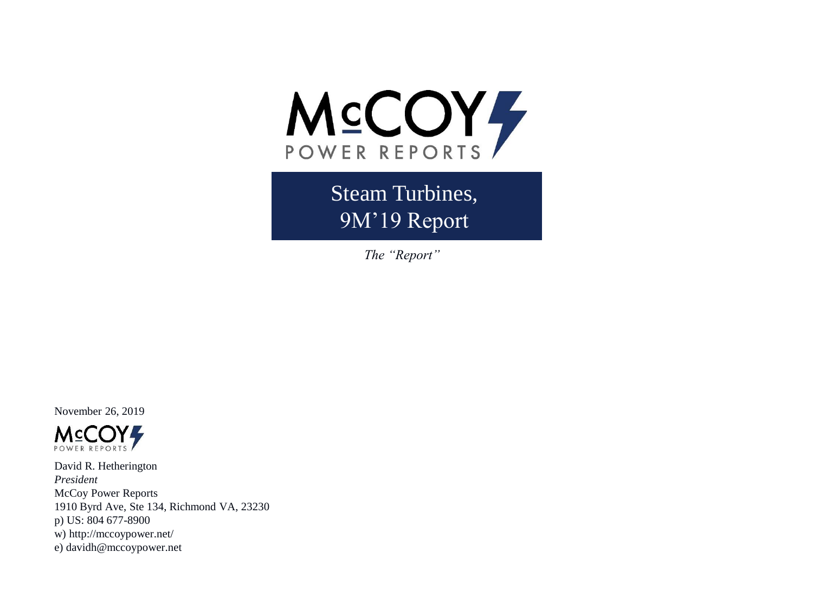

Steam Turbines, 9M'19 Report

*The "Report"*

November 26, 2019



David R. Hetherington *President* McCoy Power Reports 1910 Byrd Ave, Ste 134, Richmond VA, 23230 p) US: 804 677-8900 w) http://mccoypower.net/ e) davidh@mccoypower.net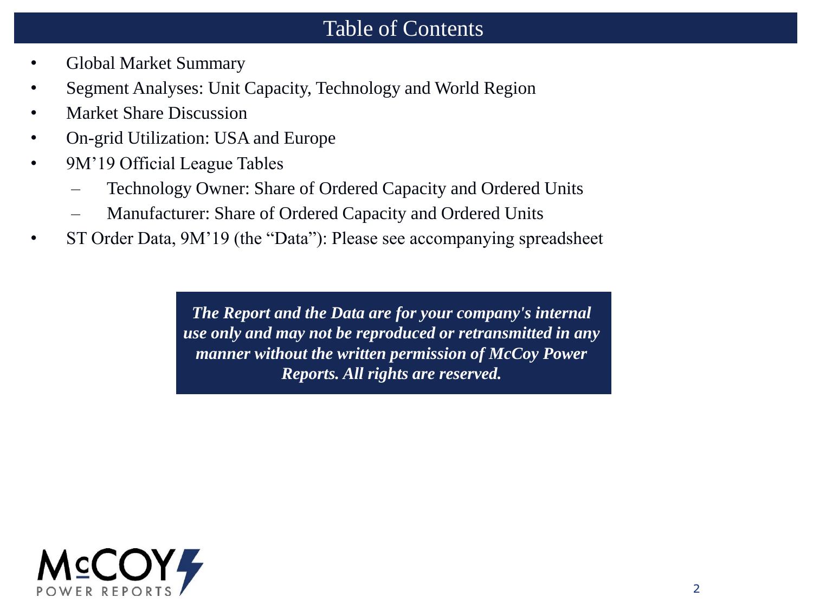#### Table of Contents

- Global Market Summary
- Segment Analyses: Unit Capacity, Technology and World Region
- Market Share Discussion
- On-grid Utilization: USA and Europe
- 9M'19 Official League Tables
	- Technology Owner: Share of Ordered Capacity and Ordered Units
	- Manufacturer: Share of Ordered Capacity and Ordered Units
- ST Order Data, 9M'19 (the "Data"): Please see accompanying spreadsheet

*The Report and the Data are for your company's internal use only and may not be reproduced or retransmitted in any manner without the written permission of McCoy Power Reports. All rights are reserved.*

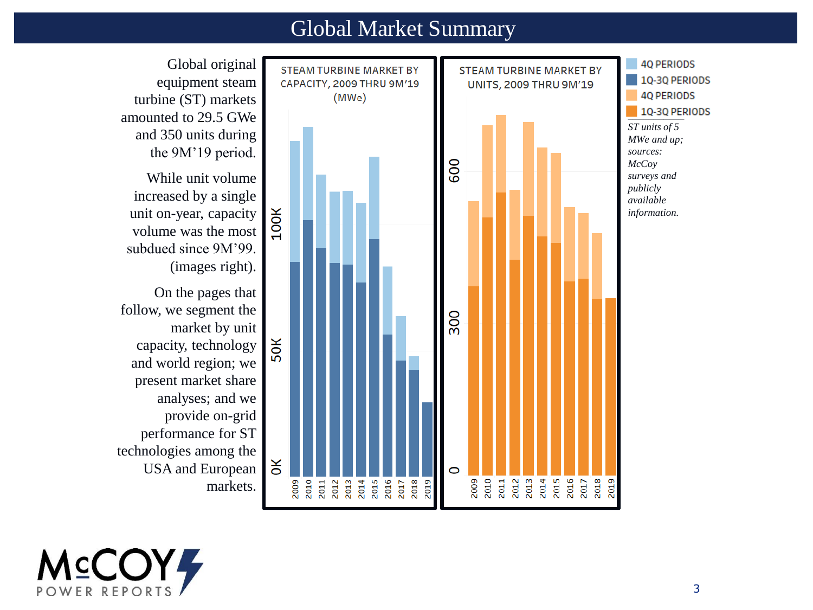#### Global Market Summary



equipment steam turbine (ST) markets amounted to 29.5 GWe and 350 units during the 9M'19 period.

While unit volume increased by a single unit on-year, capacity volume was the most subdued since 9M'99. (images right).

On the pages that follow, we segment the market by unit capacity, technology and world region; we present market share analyses; and we provide on-grid performance for ST technologies among the USA and European

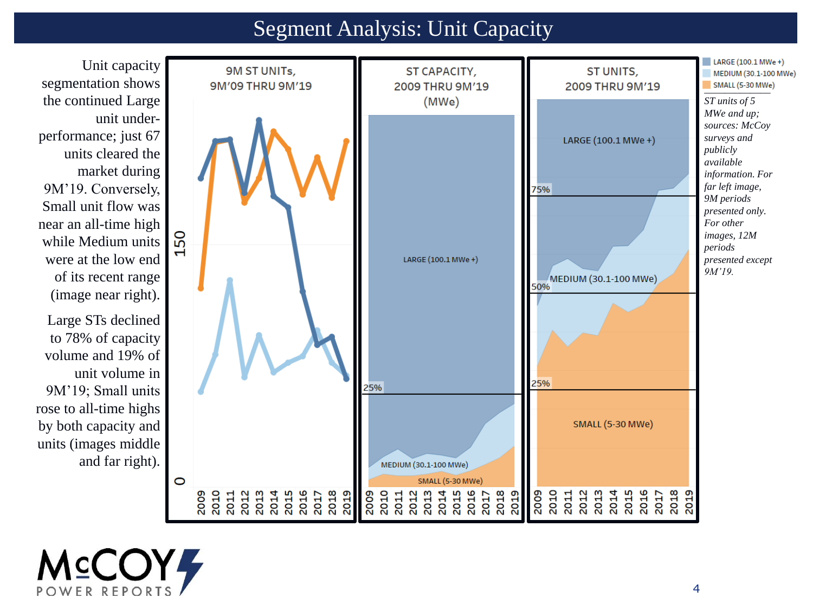#### Segment Analysis: Unit Capacity



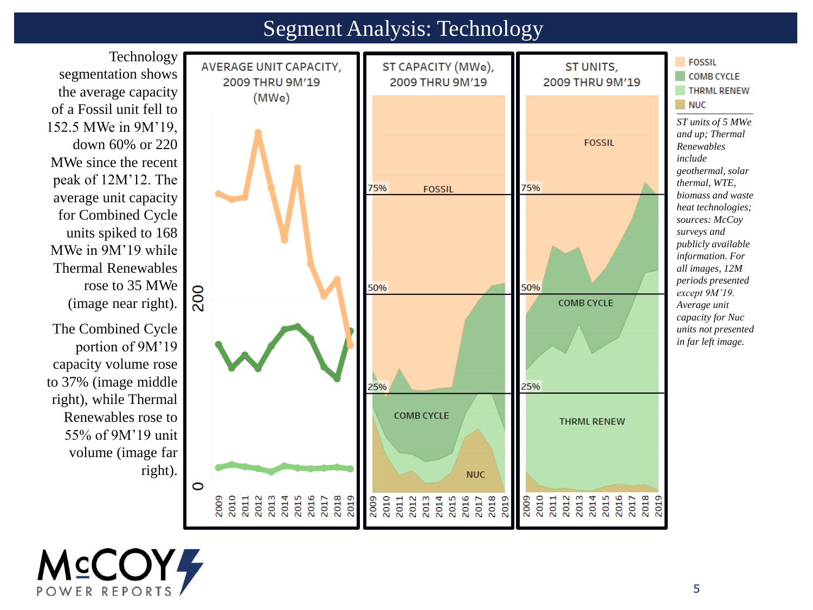#### Segment Analysis: Technology

Technology segmentation shows the average capacity of a Fossil unit fell to 152.5 MWe in 9M'19, down 60% or 220 MWe since the recent peak of 12M'12. The average unit capacity for Combined Cycle units spiked to 168 MWe in 9M'19 while Thermal Renewables rose to 35 MWe (image near right). The Combined Cycle portion of 9M'19 capacity volume rose

to 37% (image middle right), while Thermal Renewables rose to 55% of 9M'19 unit volume (image far



*\_\_\_\_\_\_\_\_\_\_\_\_\_\_\_ ST units of 5 MWe and up; Thermal Renewables include geothermal, solar thermal, WTE, biomass and waste heat technologies; sources: McCoy surveys and publicly available information. For all images, 12M periods presented except 9M'19. Average unit capacity for Nuc units not presented in far left image.*

**FOSSIL** 

**COMB CYCLE** 

**THRML RENEW** 



right).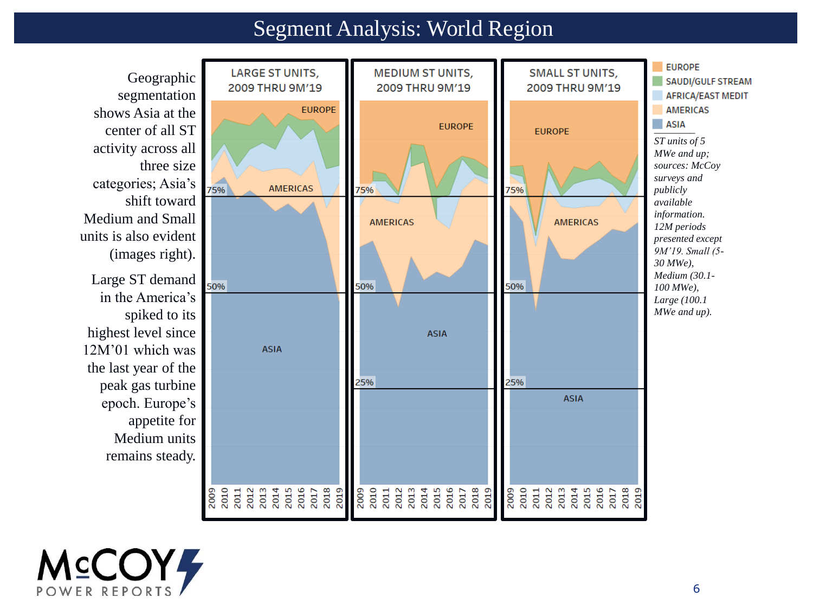#### Segment Analysis: World Region



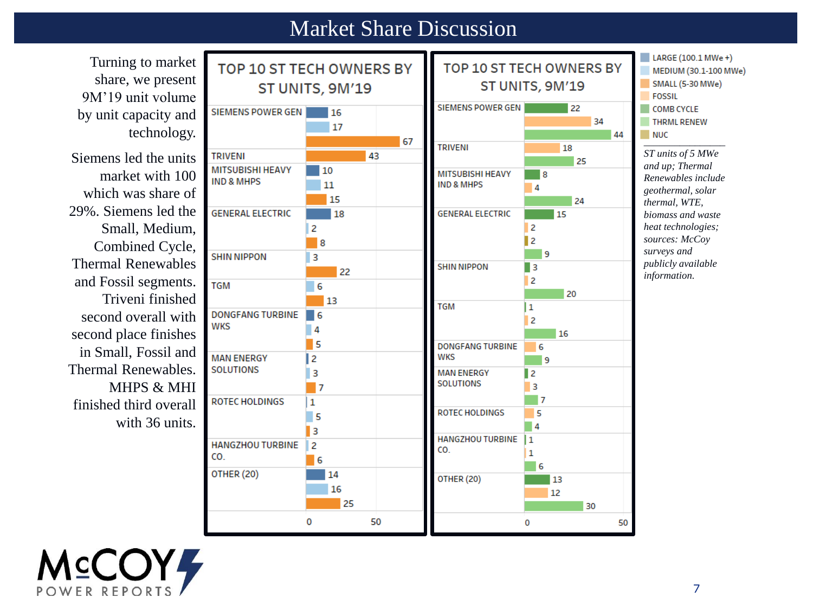#### Market Share Discussion

LARGE (100.1 MWe +) Turning to market TOP 10 ST TECH OWNERS BY TOP 10 ST TECH OWNERS BY MEDIUM (30.1-100 MWe) share, we present ST UNITS, 9M'19 SMALL (5-30 MWe) ST UNITS, 9M'19 9M'19 unit volume **FOSSIL** SIEMENS POWER GEN 22 COMB CYCLE **SIEMENS POWER GEN**  $\blacksquare$  16 by unit capacity and 34 **THRML RENEW** 17 technology. 44 67 *\_\_\_\_\_\_\_\_\_\_\_\_\_\_\_\_* **TRIVENI** 18 **TRIVENI** 43 *ST units of 5 MWe*  Siemens led the units 25 *and up; Thermal*  **MITSUBISHI HEAVY** 10 market with 100 **MITSUBISHI HEAVY** ■ 8 *Renewables include*  **IND & MHPS**  $11$ **IND & MHPS**  $\overline{4}$ which was share of *geothermal, solar*  15 24 *thermal, WTE,*  29%. Siemens led the **GENERAL ELECTRIC** 18 **GENERAL ELECTRIC** 15 *biomass and waste*  Small, Medium,  $\overline{c}$  $\overline{c}$ *heat technologies;*   $\mathbf{z}$ *sources: McCoy*   $^{\circ}$  8 Combined Cycle, *surveys and*  9 **SHIN NIPPON**  $\overline{\mathbf{3}}$ Thermal Renewables *publicly available*  **SHIN NIPPON**  $\blacksquare$ 22 *information.*and Fossil segments.  $\overline{c}$ **TGM** 6 20 Triveni finished l 13 **TGM**  $\mathbf{1}$ **DONGFANG TURBINE**  $-6$ second overall with  $\overline{2}$ **WKS** 4 second place finishes  $16$ 15 **DONGFANG TURBINE** 6 in Small, Fossil and **MAN ENERGY WKS** l2 9 Thermal Renewables. **SOLUTIONS**  $\overline{3}$ **MAN ENERGY** ll 2 **SOLUTIONS** MHPS & MHI  $\overline{3}$ - 7  $\mathbf{17}$ **ROTEC HOLDINGS**  $\mathbf{1}$ finished third overall **ROTEC HOLDINGS** 5  $\Box$  5 with 36 units.  $\blacksquare$ 1з HANGZHOU TURBINE 1 **HANGZHOU TURBINE**  $\overline{a}$ CO.  $\overline{1}$ CO. 6 6 **OTHER (20)** 14 OTHER (20) **13** 16 12 25 30 0 50 0 50

**M**COY<sup>L</sup> POWER REPORT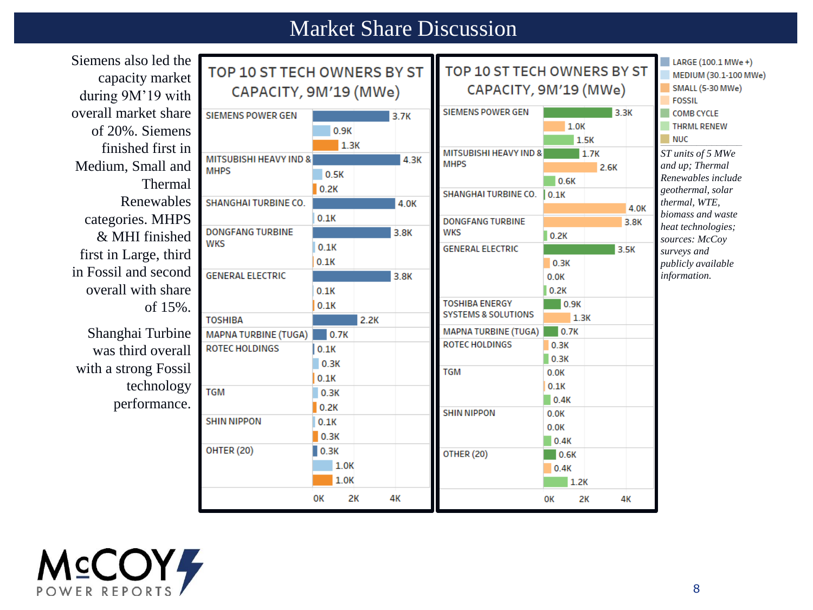### Market Share Discussion

| Siemens also led the  |                                   |                       |      |                             |                                   |              |                       |                         | $LARGE(100.1 \text{ MWe +})$         |
|-----------------------|-----------------------------------|-----------------------|------|-----------------------------|-----------------------------------|--------------|-----------------------|-------------------------|--------------------------------------|
| capacity market       | TOP 10 ST TECH OWNERS BY ST       |                       |      | TOP 10 ST TECH OWNERS BY ST |                                   |              | MEDIUM (30.1-100 MWe) |                         |                                      |
|                       |                                   | CAPACITY, 9M'19 (MWe) |      |                             | CAPACITY, 9M'19 (MWe)             |              |                       | <b>SMALL (5-30 MWe)</b> |                                      |
| during 9M'19 with     |                                   |                       |      |                             |                                   |              |                       |                         | <b>FOSSIL</b>                        |
| overall market share  | <b>SIEMENS POWER GEN</b>          |                       |      | 3.7K                        | <b>SIEMENS POWER GEN</b>          |              |                       | 3.3K                    | <b>COMB CYCLE</b>                    |
| of 20%. Siemens       |                                   | 0.9K                  |      |                             |                                   | 1.0K         |                       |                         | <b>THRML RENEW</b>                   |
| finished first in     |                                   |                       | 1.3K |                             | <b>MITSUBISHI HEAVY IND &amp;</b> |              | 1.5K                  |                         | <b>NUC</b>                           |
| Medium, Small and     | <b>MITSUBISHI HEAVY IND &amp;</b> |                       |      | 4.3K                        | <b>MHPS</b>                       |              | 1.7K<br>2.6K          |                         | ST units of 5 MWe<br>and up; Thermal |
|                       | <b>MHPS</b>                       | 0.5K                  |      |                             |                                   | 0.6K         |                       |                         | Renewables include                   |
| Thermal               |                                   | 0.2K                  |      |                             | SHANGHAI TURBINE CO.              | 0.1K         |                       |                         | geothermal, solar                    |
| Renewables            | SHANGHAI TURBINE CO.              |                       |      | 4.0K                        |                                   |              |                       | 4.0K                    | thermal, WTE,                        |
| categories. MHPS      |                                   | 0.1K                  |      |                             | <b>DONGFANG TURBINE</b>           |              |                       | 3.8K                    | biomass and waste                    |
| & MHI finished        | <b>DONGFANG TURBINE</b>           |                       |      | 3.8K                        | <b>WKS</b>                        | 0.2K         |                       |                         | heat technologies;<br>sources: McCoy |
|                       | <b>WKS</b>                        | 0.1K                  |      |                             | <b>GENERAL ELECTRIC</b>           |              |                       | 3.5K                    | surveys and                          |
| first in Large, third |                                   | 0.1K                  |      |                             |                                   | 0.3K         |                       |                         | publicly available                   |
| in Fossil and second  | <b>GENERAL ELECTRIC</b>           |                       |      | 3.8K                        |                                   | 0.0K         |                       |                         | information.                         |
| overall with share    |                                   | 0.1K                  |      |                             |                                   | 0.2K         |                       |                         |                                      |
| of 15%.               |                                   | 0.1K                  |      |                             | <b>TOSHIBA ENERGY</b>             | 0.9K         |                       |                         |                                      |
|                       | <b>TOSHIBA</b>                    |                       | 2.2K |                             | <b>SYSTEMS &amp; SOLUTIONS</b>    |              | 1.3K                  |                         |                                      |
| Shanghai Turbine      | <b>MAPNA TURBINE (TUGA)</b>       | 0.7K                  |      |                             | <b>MAPNA TURBINE (TUGA)</b>       | 0.7K         |                       |                         |                                      |
| was third overall     | <b>ROTEC HOLDINGS</b>             | 0.1K                  |      |                             | <b>ROTEC HOLDINGS</b>             | 0.3K         |                       |                         |                                      |
| with a strong Fossil  |                                   | 0.3K                  |      |                             | <b>TGM</b>                        | 0.3K         |                       |                         |                                      |
|                       |                                   | 0.1K                  |      |                             |                                   | 0.0K         |                       |                         |                                      |
| technology            | <b>TGM</b>                        | 0.3K                  |      |                             |                                   | 0.1K<br>0.4K |                       |                         |                                      |
| performance.          |                                   | 0.2K                  |      |                             | <b>SHIN NIPPON</b>                | 0.0K         |                       |                         |                                      |
|                       | <b>SHIN NIPPON</b>                | 0.1K                  |      |                             |                                   | 0.0K         |                       |                         |                                      |
|                       |                                   | 0.3K                  |      |                             |                                   | 0.4K         |                       |                         |                                      |
|                       | <b>OHTER (20)</b>                 | 0.3K                  |      |                             | OTHER (20)                        | 0.6K         |                       |                         |                                      |
|                       |                                   | 1.0K                  |      |                             |                                   | 0.4K         |                       |                         |                                      |
|                       |                                   | 1.0K                  |      |                             |                                   | 1.2K         |                       |                         |                                      |
|                       |                                   | 0K                    | 2K   | 4К                          |                                   | OК           | 2К                    | 4К                      |                                      |
|                       |                                   |                       |      |                             |                                   |              |                       |                         |                                      |

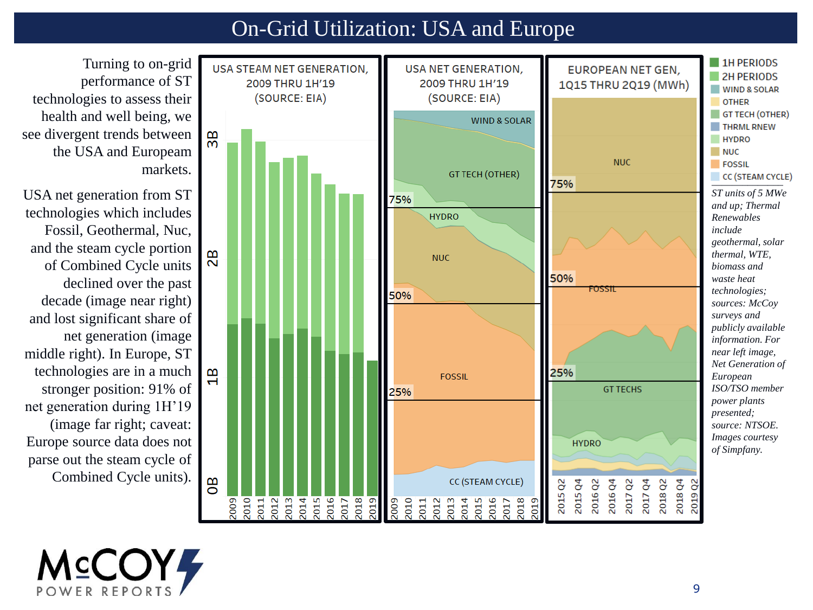#### On-Grid Utilization: USA and Europe

**1H PERIODS USA STEAM NET GENERATION USA NET GENERATION, EUROPEAN NET GEN, 2H PERIODS** 2009 THRU 1H'19 2009 THRU 1H'19 1Q15 THRU 2Q19 (MWh) **WIND & SOLAR** (SOURCE: EIA) (SOURCE: EIA) **OTHER** GT TECH (OTHER) **WIND & SOLAR THRML RNEW**  $\overline{38}$ **HYDRO NUC NUC FOSSIL GT TECH (OTHER)**  $CC$  (STEAM CYCLE) 75% *ST units of 5 MWe*  75% *and up; Thermal*  **HYDRO** *Renewables include geothermal, solar*  82 *thermal, WTE,*  **NUC** *biomass and*  50% *waste heat*  FOSSII *technologies;*  50% *sources: McCoy surveys and publicly available information. For near left image, Net Generation of*   $\frac{a}{1}$ 25% **FOSSIL** *European*  **GT TECHS** *ISO/TSO member*  25% *power plants presented; source: NTSOE. Images courtesy*  **HYDRO** *of Simpfany.* $\mathbf{g}$ 2015 Q4 CC (STEAM CYCLE) 2016Q4 2017 Q2 2017 Q4 2018 Q2 2018 Q4 2019 Q2 2015 Q2 2016 Q2 2010 2011  $\begin{array}{c} \n 2013 \\
2014 \\
\hline\n 2015\n \end{array}$ 2016 2017 2018 2019 2009  $\begin{array}{c} 2010 \\ 2011 \\ 2012 \end{array}$ 2013<br>2014<br>2015 2016<br>2017<br>2018 2009 2019

Turning to on-grid performance of ST technologies to assess their health and well being, we see divergent trends between the USA and Europeam markets.

USA net generation from ST technologies which includes Fossil, Geothermal, Nuc, and the steam cycle portion of Combined Cycle units declined over the past decade (image near right) and lost significant share of net generation (image middle right). In Europe, ST technologies are in a much stronger position: 91% of net generation during 1H'19 (image far right; caveat: Europe source data does not parse out the steam cycle of Combined Cycle units).

**MCCOY4**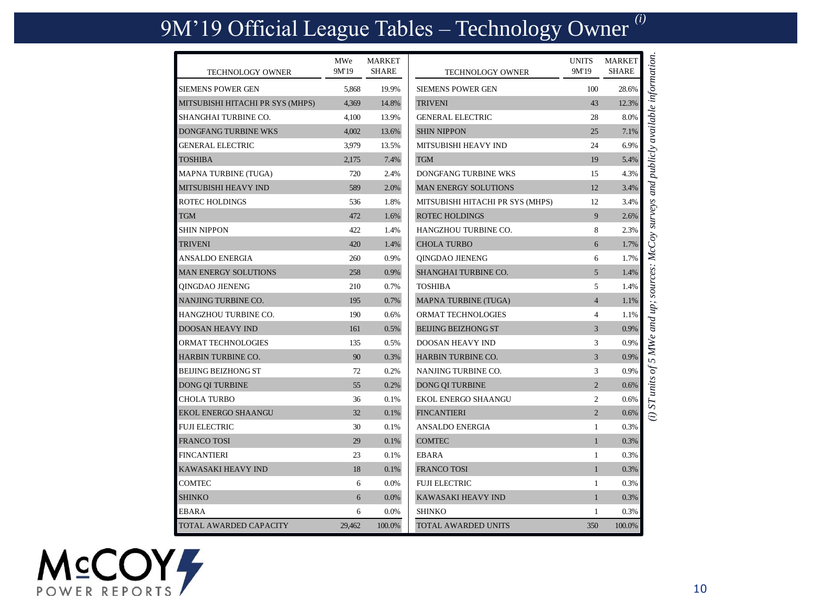# 9M'19 Official League Tables – Technology Owner *(i)*

| <b>TECHNOLOGY OWNER</b>          | MWe<br>9M'19 | MARKET<br><b>SHARE</b> | <b>TECHNOLOGY OWNER</b>          | <b>UNITS</b><br>9M'19 | <b>MARKET</b><br><b>SHARE</b> | i) ST units of 5 MWe and up; sources: McCoy surveys and publicly available information. |
|----------------------------------|--------------|------------------------|----------------------------------|-----------------------|-------------------------------|-----------------------------------------------------------------------------------------|
| <b>SIEMENS POWER GEN</b>         | 5,868        | 19.9%                  | <b>SIEMENS POWER GEN</b>         | 100                   | 28.6%                         |                                                                                         |
| MITSUBISHI HITACHI PR SYS (MHPS) | 4,369        | 14.8%                  | <b>TRIVENI</b>                   | 43                    | 12.3%                         |                                                                                         |
| SHANGHAI TURBINE CO.             | 4,100        | 13.9%                  | <b>GENERAL ELECTRIC</b>          | 28                    | 8.0%                          |                                                                                         |
| DONGFANG TURBINE WKS             | 4,002        | 13.6%                  | <b>SHIN NIPPON</b>               | 25                    | 7.1%                          |                                                                                         |
| <b>GENERAL ELECTRIC</b>          | 3,979        | 13.5%                  | MITSUBISHI HEAVY IND             | 24                    | 6.9%                          |                                                                                         |
| <b>TOSHIBA</b>                   | 2,175        | 7.4%                   | <b>TGM</b>                       | 19                    | 5.4%                          |                                                                                         |
| MAPNA TURBINE (TUGA)             | 720          | 2.4%                   | <b>DONGFANG TURBINE WKS</b>      | 15                    | 4.3%                          |                                                                                         |
| MITSUBISHI HEAVY IND             | 589          | 2.0%                   | MAN ENERGY SOLUTIONS             | 12                    | 3.4%                          |                                                                                         |
| <b>ROTEC HOLDINGS</b>            | 536          | 1.8%                   | MITSUBISHI HITACHI PR SYS (MHPS) | 12                    | 3.4%                          |                                                                                         |
| <b>TGM</b>                       | 472          | 1.6%                   | <b>ROTEC HOLDINGS</b>            | 9                     | 2.6%                          |                                                                                         |
| <b>SHIN NIPPON</b>               | 422          | 1.4%                   | <b>HANGZHOU TURBINE CO.</b>      | 8                     | 2.3%                          |                                                                                         |
| <b>TRIVENI</b>                   | 420          | 1.4%                   | <b>CHOLA TURBO</b>               | 6                     | 1.7%                          |                                                                                         |
| <b>ANSALDO ENERGIA</b>           | 260          | 0.9%                   | QINGDAO JIENENG                  | 6                     | 1.7%                          |                                                                                         |
| <b>MAN ENERGY SOLUTIONS</b>      | 258          | 0.9%                   | SHANGHAI TURBINE CO.             | $\overline{5}$        | 1.4%                          |                                                                                         |
| <b>OINGDAO JIENENG</b>           | 210          | 0.7%                   | <b>TOSHIBA</b>                   | 5                     | 1.4%                          |                                                                                         |
| NANJING TURBINE CO.              | 195          | 0.7%                   | MAPNA TURBINE (TUGA)             | $\overline{4}$        | 1.1%                          |                                                                                         |
| <b>HANGZHOU TURBINE CO.</b>      | 190          | 0.6%                   | ORMAT TECHNOLOGIES               | $\overline{4}$        | 1.1%                          |                                                                                         |
| <b>DOOSAN HEAVY IND</b>          | 161          | 0.5%                   | <b>BEIJING BEIZHONG ST</b>       | $\overline{3}$        | 0.9%                          |                                                                                         |
| ORMAT TECHNOLOGIES               | 135          | 0.5%                   | DOOSAN HEAVY IND                 | 3                     | 0.9%                          |                                                                                         |
| <b>HARBIN TURBINE CO.</b>        | 90           | 0.3%                   | HARBIN TURBINE CO.               | 3                     | 0.9%                          |                                                                                         |
| <b>BEIJING BEIZHONG ST</b>       | 72           | 0.2%                   | NANJING TURBINE CO.              | 3                     | 0.9%                          |                                                                                         |
| DONG QI TURBINE                  | 55           | 0.2%                   | DONG QI TURBINE                  | $\overline{2}$        | 0.6%                          |                                                                                         |
| <b>CHOLA TURBO</b>               | 36           | 0.1%                   | <b>EKOL ENERGO SHAANGU</b>       | $\overline{2}$        | 0.6%                          |                                                                                         |
| <b>EKOL ENERGO SHAANGU</b>       | 32           | 0.1%                   | <b>FINCANTIERI</b>               | $\overline{2}$        | 0.6%                          |                                                                                         |
| <b>FUJI ELECTRIC</b>             | 30           | 0.1%                   | ANSALDO ENERGIA                  | $\mathbf{1}$          | 0.3%                          |                                                                                         |
| <b>FRANCO TOSI</b>               | 29           | 0.1%                   | <b>COMTEC</b>                    | $\mathbf{1}$          | 0.3%                          |                                                                                         |
| <b>FINCANTIERI</b>               | 23           | 0.1%                   | <b>EBARA</b>                     | $\mathbf{1}$          | 0.3%                          |                                                                                         |
| <b>KAWASAKI HEAVY IND</b>        | 18           | 0.1%                   | <b>FRANCO TOSI</b>               | $\mathbf{1}$          | 0.3%                          |                                                                                         |
| <b>COMTEC</b>                    | 6            | 0.0%                   | <b>FUJI ELECTRIC</b>             | $\mathbf{1}$          | 0.3%                          |                                                                                         |
| <b>SHINKO</b>                    | 6            | $0.0\%$                | KAWASAKI HEAVY IND               | $\mathbf{1}$          | 0.3%                          |                                                                                         |
| <b>EBARA</b>                     | 6            | 0.0%                   | <b>SHINKO</b>                    | 1                     | 0.3%                          |                                                                                         |
| TOTAL AWARDED CAPACITY           | 29.462       | 100.0%                 | TOTAL AWARDED UNITS              | 350                   | 100.0%                        |                                                                                         |

MCCOY